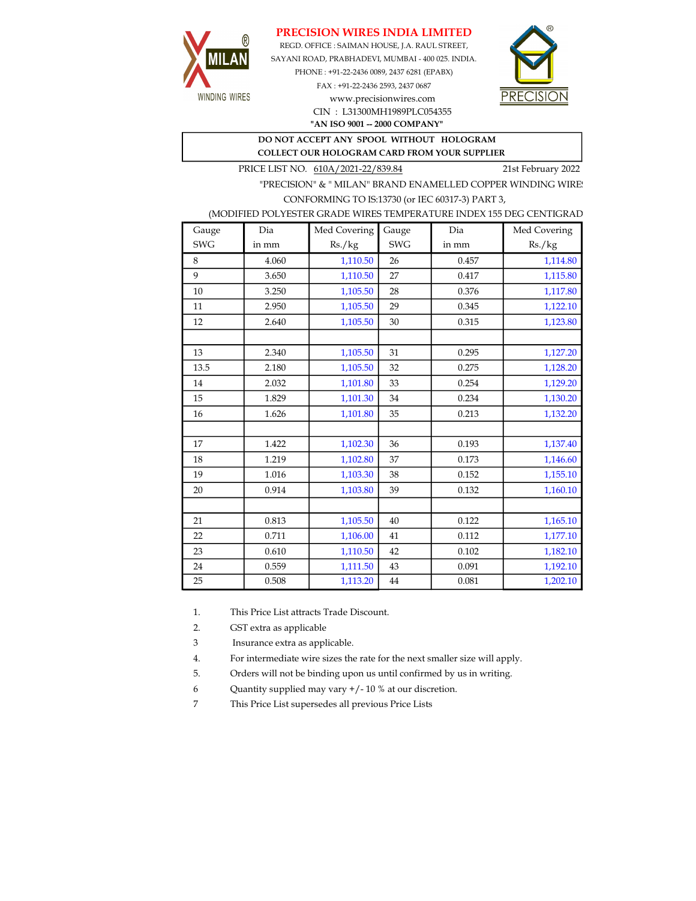## PRECISION WIRES INDIA LIMITED



REGD. OFFICE : SAIMAN HOUSE, J.A. RAUL STREET, SAYANI ROAD, PRABHADEVI, MUMBAI - 400 025. INDIA. PHONE : +91-22-2436 0089, 2437 6281 (EPABX)

> FAX : +91-22-2436 2593, 2437 0687 www.precisionwires.com CIN : L31300MH1989PLC054355



"AN ISO 9001 -- 2000 COMPANY"

## DO NOT ACCEPT ANY SPOOL WITHOUT HOLOGRAM COLLECT OUR HOLOGRAM CARD FROM YOUR SUPPLIER

PRICE LIST NO. 610A/2021-22/839.84 21st February 2022

"PRECISION" & " MILAN" BRAND ENAMELLED COPPER WINDING WIRE CONFORMING TO IS:13730 (or IEC 60317-3) PART 3,

|  |  | (MODIFIED POLYESTER GRADE WIRES TEMPERATURE INDEX 155 DEG CENTIGRAD |  |
|--|--|---------------------------------------------------------------------|--|
|  |  |                                                                     |  |

| Gauge      | Dia   | Med Covering | Gauge      | Dia   | Med Covering |
|------------|-------|--------------|------------|-------|--------------|
| <b>SWG</b> | in mm | Rs./kg       | <b>SWG</b> | in mm | Rs./kg       |
| 8          | 4.060 | 1,110.50     | 26         | 0.457 | 1,114.80     |
| 9          | 3.650 | 1,110.50     | 27         | 0.417 | 1,115.80     |
| 10         | 3.250 | 1,105.50     | 28         | 0.376 | 1,117.80     |
| 11         | 2.950 | 1,105.50     | 29         | 0.345 | 1,122.10     |
| 12         | 2.640 | 1,105.50     | 30         | 0.315 | 1,123.80     |
|            |       |              |            |       |              |
| 13         | 2.340 | 1,105.50     | 31         | 0.295 | 1,127.20     |
| 13.5       | 2.180 | 1,105.50     | 32         | 0.275 | 1,128.20     |
| 14         | 2.032 | 1,101.80     | 33         | 0.254 | 1,129.20     |
| 15         | 1.829 | 1,101.30     | 34         | 0.234 | 1,130.20     |
| 16         | 1.626 | 1,101.80     | 35         | 0.213 | 1,132.20     |
|            |       |              |            |       |              |
| 17         | 1.422 | 1,102.30     | 36         | 0.193 | 1,137.40     |
| 18         | 1.219 | 1,102.80     | 37         | 0.173 | 1,146.60     |
| 19         | 1.016 | 1,103.30     | 38         | 0.152 | 1,155.10     |
| 20         | 0.914 | 1,103.80     | 39         | 0.132 | 1,160.10     |
|            |       |              |            |       |              |
| 21         | 0.813 | 1,105.50     | 40         | 0.122 | 1,165.10     |
| 22         | 0.711 | 1,106.00     | 41         | 0.112 | 1,177.10     |
| 23         | 0.610 | 1,110.50     | 42         | 0.102 | 1,182.10     |
| 24         | 0.559 | 1,111.50     | 43         | 0.091 | 1,192.10     |
| 25         | 0.508 | 1,113.20     | 44         | 0.081 | 1,202.10     |

1. This Price List attracts Trade Discount.

2. GST extra as applicable

3 Insurance extra as applicable.

4. For intermediate wire sizes the rate for the next smaller size will apply.

5. Orders will not be binding upon us until confirmed by us in writing.

6 Quantity supplied may vary +/- 10 % at our discretion.

7 This Price List supersedes all previous Price Lists